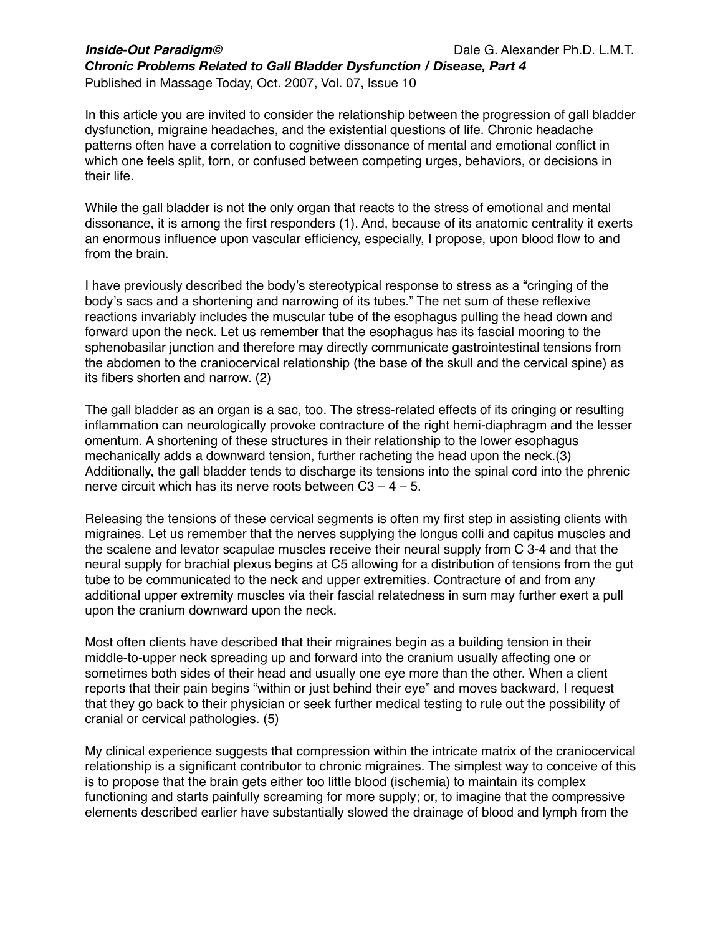### *Inside-Out Paradigm©* 
Dale G. Alexander Ph.D. L.M.T. *Chronic Problems Related to Gall Bladder Dysfunction / Disease, Part 4*

Published in Massage Today, Oct. 2007, Vol. 07, Issue 10

In this article you are invited to consider the relationship between the progression of gall bladder dysfunction, migraine headaches, and the existential questions of life. Chronic headache patterns often have a correlation to cognitive dissonance of mental and emotional conflict in which one feels split, torn, or confused between competing urges, behaviors, or decisions in their life.

While the gall bladder is not the only organ that reacts to the stress of emotional and mental dissonance, it is among the first responders (1). And, because of its anatomic centrality it exerts an enormous influence upon vascular efficiency, especially, I propose, upon blood flow to and from the brain.

I have previously described the body's stereotypical response to stress as a "cringing of the body's sacs and a shortening and narrowing of its tubes." The net sum of these reflexive reactions invariably includes the muscular tube of the esophagus pulling the head down and forward upon the neck. Let us remember that the esophagus has its fascial mooring to the sphenobasilar junction and therefore may directly communicate gastrointestinal tensions from the abdomen to the craniocervical relationship (the base of the skull and the cervical spine) as its fibers shorten and narrow. (2)

The gall bladder as an organ is a sac, too. The stress-related effects of its cringing or resulting inflammation can neurologically provoke contracture of the right hemi-diaphragm and the lesser omentum. A shortening of these structures in their relationship to the lower esophagus mechanically adds a downward tension, further racheting the head upon the neck.(3) Additionally, the gall bladder tends to discharge its tensions into the spinal cord into the phrenic nerve circuit which has its nerve roots between  $C3 - 4 - 5$ .

Releasing the tensions of these cervical segments is often my first step in assisting clients with migraines. Let us remember that the nerves supplying the longus colli and capitus muscles and the scalene and levator scapulae muscles receive their neural supply from C 3-4 and that the neural supply for brachial plexus begins at C5 allowing for a distribution of tensions from the gut tube to be communicated to the neck and upper extremities. Contracture of and from any additional upper extremity muscles via their fascial relatedness in sum may further exert a pull upon the cranium downward upon the neck.

Most often clients have described that their migraines begin as a building tension in their middle-to-upper neck spreading up and forward into the cranium usually affecting one or sometimes both sides of their head and usually one eye more than the other. When a client reports that their pain begins "within or just behind their eye" and moves backward, I request that they go back to their physician or seek further medical testing to rule out the possibility of cranial or cervical pathologies. (5)

My clinical experience suggests that compression within the intricate matrix of the craniocervical relationship is a significant contributor to chronic migraines. The simplest way to conceive of this is to propose that the brain gets either too little blood (ischemia) to maintain its complex functioning and starts painfully screaming for more supply; or, to imagine that the compressive elements described earlier have substantially slowed the drainage of blood and lymph from the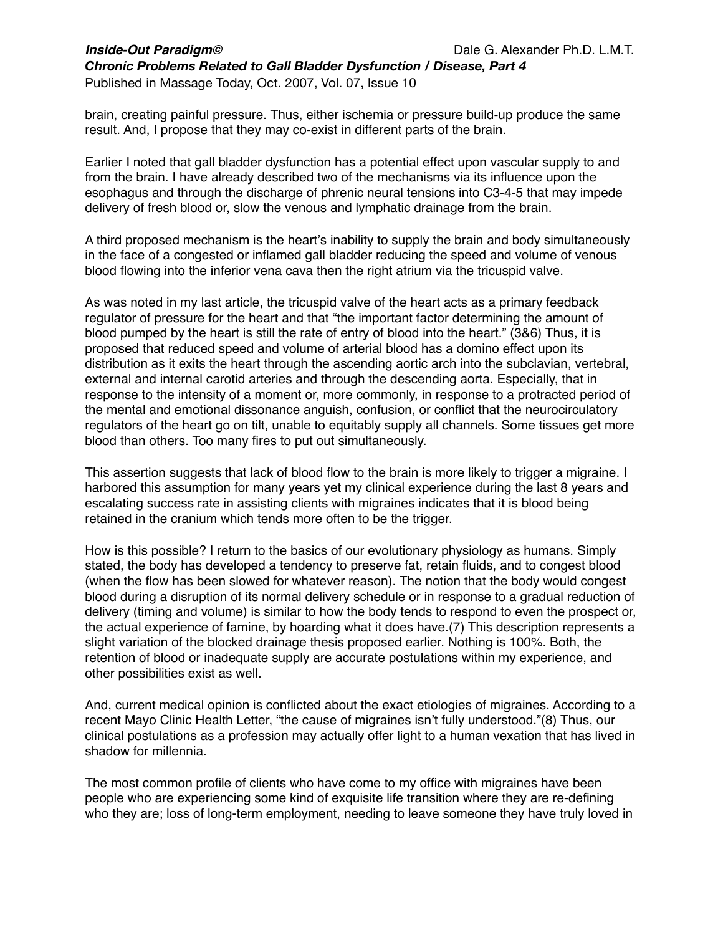# *Inside-Out Paradigm©* 
Dale G. Alexander Ph.D. L.M.T.

*Chronic Problems Related to Gall Bladder Dysfunction / Disease, Part 4*

Published in Massage Today, Oct. 2007, Vol. 07, Issue 10

brain, creating painful pressure. Thus, either ischemia or pressure build-up produce the same result. And, I propose that they may co-exist in different parts of the brain.

Earlier I noted that gall bladder dysfunction has a potential effect upon vascular supply to and from the brain. I have already described two of the mechanisms via its influence upon the esophagus and through the discharge of phrenic neural tensions into C3-4-5 that may impede delivery of fresh blood or, slow the venous and lymphatic drainage from the brain.

A third proposed mechanism is the heart's inability to supply the brain and body simultaneously in the face of a congested or inflamed gall bladder reducing the speed and volume of venous blood flowing into the inferior vena cava then the right atrium via the tricuspid valve.

As was noted in my last article, the tricuspid valve of the heart acts as a primary feedback regulator of pressure for the heart and that "the important factor determining the amount of blood pumped by the heart is still the rate of entry of blood into the heart." (3&6) Thus, it is proposed that reduced speed and volume of arterial blood has a domino effect upon its distribution as it exits the heart through the ascending aortic arch into the subclavian, vertebral, external and internal carotid arteries and through the descending aorta. Especially, that in response to the intensity of a moment or, more commonly, in response to a protracted period of the mental and emotional dissonance anguish, confusion, or conflict that the neurocirculatory regulators of the heart go on tilt, unable to equitably supply all channels. Some tissues get more blood than others. Too many fires to put out simultaneously.

This assertion suggests that lack of blood flow to the brain is more likely to trigger a migraine. I harbored this assumption for many years yet my clinical experience during the last 8 years and escalating success rate in assisting clients with migraines indicates that it is blood being retained in the cranium which tends more often to be the trigger.

How is this possible? I return to the basics of our evolutionary physiology as humans. Simply stated, the body has developed a tendency to preserve fat, retain fluids, and to congest blood (when the flow has been slowed for whatever reason). The notion that the body would congest blood during a disruption of its normal delivery schedule or in response to a gradual reduction of delivery (timing and volume) is similar to how the body tends to respond to even the prospect or, the actual experience of famine, by hoarding what it does have.(7) This description represents a slight variation of the blocked drainage thesis proposed earlier. Nothing is 100%. Both, the retention of blood or inadequate supply are accurate postulations within my experience, and other possibilities exist as well.

And, current medical opinion is conflicted about the exact etiologies of migraines. According to a recent Mayo Clinic Health Letter, "the cause of migraines isn't fully understood."(8) Thus, our clinical postulations as a profession may actually offer light to a human vexation that has lived in shadow for millennia.

The most common profile of clients who have come to my office with migraines have been people who are experiencing some kind of exquisite life transition where they are re-defining who they are; loss of long-term employment, needing to leave someone they have truly loved in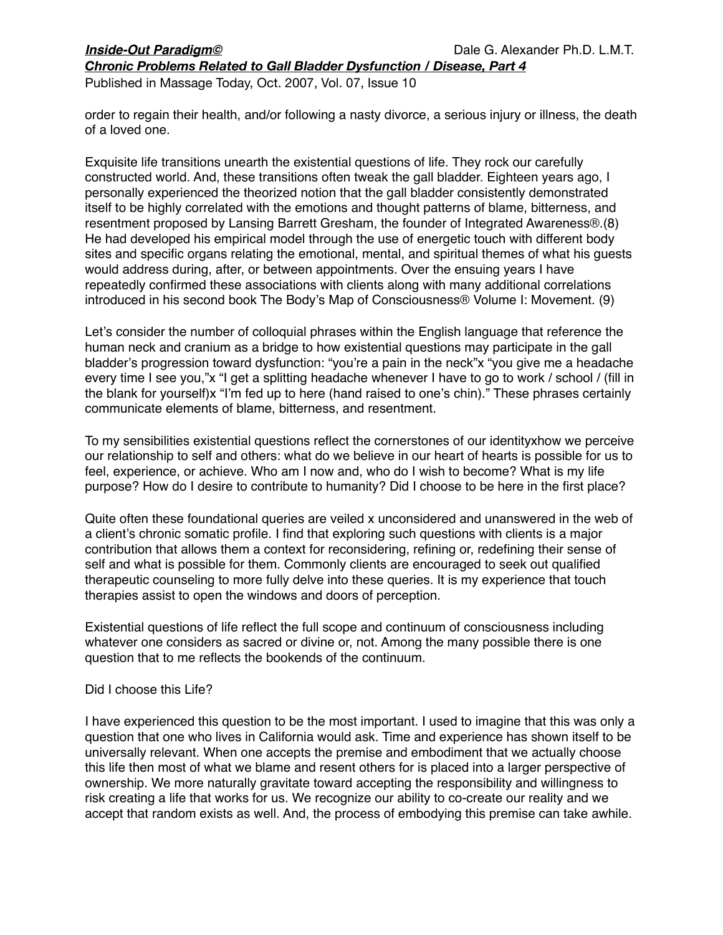*Chronic Problems Related to Gall Bladder Dysfunction / Disease, Part 4*

Published in Massage Today, Oct. 2007, Vol. 07, Issue 10

order to regain their health, and/or following a nasty divorce, a serious injury or illness, the death of a loved one.

Exquisite life transitions unearth the existential questions of life. They rock our carefully constructed world. And, these transitions often tweak the gall bladder. Eighteen years ago, I personally experienced the theorized notion that the gall bladder consistently demonstrated itself to be highly correlated with the emotions and thought patterns of blame, bitterness, and resentment proposed by Lansing Barrett Gresham, the founder of Integrated Awareness®.(8) He had developed his empirical model through the use of energetic touch with different body sites and specific organs relating the emotional, mental, and spiritual themes of what his guests would address during, after, or between appointments. Over the ensuing years I have repeatedly confirmed these associations with clients along with many additional correlations introduced in his second book The Body's Map of Consciousness® Volume I: Movement. (9)

Let's consider the number of colloquial phrases within the English language that reference the human neck and cranium as a bridge to how existential questions may participate in the gall bladder's progression toward dysfunction: "you're a pain in the neck"x "you give me a headache every time I see you,"x "I get a splitting headache whenever I have to go to work / school / (fill in the blank for yourself)x "I'm fed up to here (hand raised to one's chin)." These phrases certainly communicate elements of blame, bitterness, and resentment.

To my sensibilities existential questions reflect the cornerstones of our identityxhow we perceive our relationship to self and others: what do we believe in our heart of hearts is possible for us to feel, experience, or achieve. Who am I now and, who do I wish to become? What is my life purpose? How do I desire to contribute to humanity? Did I choose to be here in the first place?

Quite often these foundational queries are veiled x unconsidered and unanswered in the web of a client's chronic somatic profile. I find that exploring such questions with clients is a major contribution that allows them a context for reconsidering, refining or, redefining their sense of self and what is possible for them. Commonly clients are encouraged to seek out qualified therapeutic counseling to more fully delve into these queries. It is my experience that touch therapies assist to open the windows and doors of perception.

Existential questions of life reflect the full scope and continuum of consciousness including whatever one considers as sacred or divine or, not. Among the many possible there is one question that to me reflects the bookends of the continuum.

### Did I choose this Life?

I have experienced this question to be the most important. I used to imagine that this was only a question that one who lives in California would ask. Time and experience has shown itself to be universally relevant. When one accepts the premise and embodiment that we actually choose this life then most of what we blame and resent others for is placed into a larger perspective of ownership. We more naturally gravitate toward accepting the responsibility and willingness to risk creating a life that works for us. We recognize our ability to co-create our reality and we accept that random exists as well. And, the process of embodying this premise can take awhile.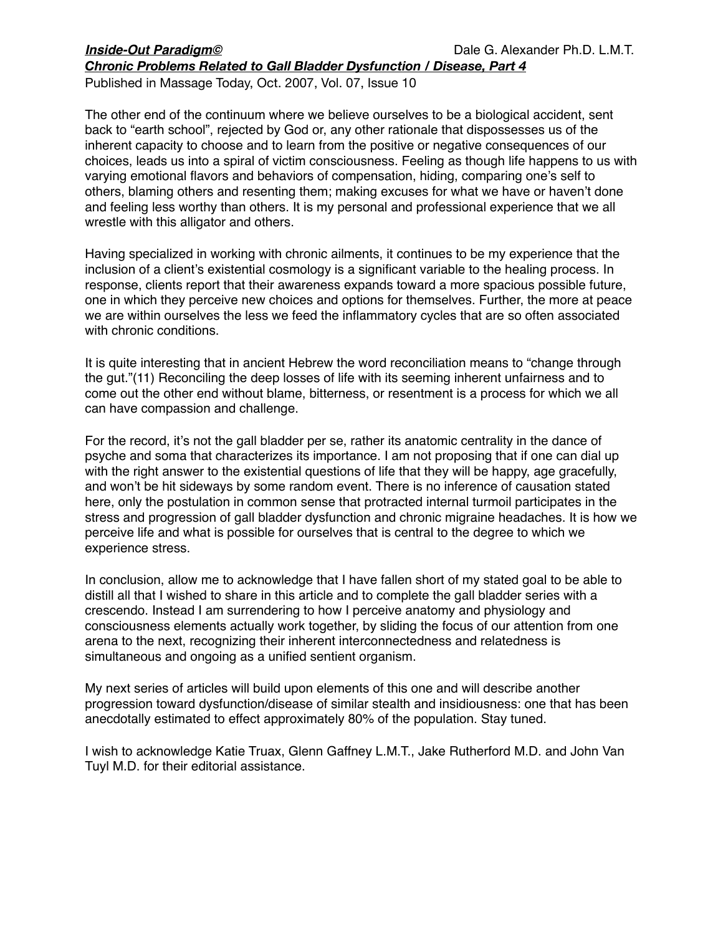*Chronic Problems Related to Gall Bladder Dysfunction / Disease, Part 4*

Published in Massage Today, Oct. 2007, Vol. 07, Issue 10

The other end of the continuum where we believe ourselves to be a biological accident, sent back to "earth school", rejected by God or, any other rationale that dispossesses us of the inherent capacity to choose and to learn from the positive or negative consequences of our choices, leads us into a spiral of victim consciousness. Feeling as though life happens to us with varying emotional flavors and behaviors of compensation, hiding, comparing one's self to others, blaming others and resenting them; making excuses for what we have or haven't done and feeling less worthy than others. It is my personal and professional experience that we all wrestle with this alligator and others.

Having specialized in working with chronic ailments, it continues to be my experience that the inclusion of a client's existential cosmology is a significant variable to the healing process. In response, clients report that their awareness expands toward a more spacious possible future, one in which they perceive new choices and options for themselves. Further, the more at peace we are within ourselves the less we feed the inflammatory cycles that are so often associated with chronic conditions.

It is quite interesting that in ancient Hebrew the word reconciliation means to "change through the gut."(11) Reconciling the deep losses of life with its seeming inherent unfairness and to come out the other end without blame, bitterness, or resentment is a process for which we all can have compassion and challenge.

For the record, it's not the gall bladder per se, rather its anatomic centrality in the dance of psyche and soma that characterizes its importance. I am not proposing that if one can dial up with the right answer to the existential questions of life that they will be happy, age gracefully, and won't be hit sideways by some random event. There is no inference of causation stated here, only the postulation in common sense that protracted internal turmoil participates in the stress and progression of gall bladder dysfunction and chronic migraine headaches. It is how we perceive life and what is possible for ourselves that is central to the degree to which we experience stress.

In conclusion, allow me to acknowledge that I have fallen short of my stated goal to be able to distill all that I wished to share in this article and to complete the gall bladder series with a crescendo. Instead I am surrendering to how I perceive anatomy and physiology and consciousness elements actually work together, by sliding the focus of our attention from one arena to the next, recognizing their inherent interconnectedness and relatedness is simultaneous and ongoing as a unified sentient organism.

My next series of articles will build upon elements of this one and will describe another progression toward dysfunction/disease of similar stealth and insidiousness: one that has been anecdotally estimated to effect approximately 80% of the population. Stay tuned.

I wish to acknowledge Katie Truax, Glenn Gaffney L.M.T., Jake Rutherford M.D. and John Van Tuyl M.D. for their editorial assistance.